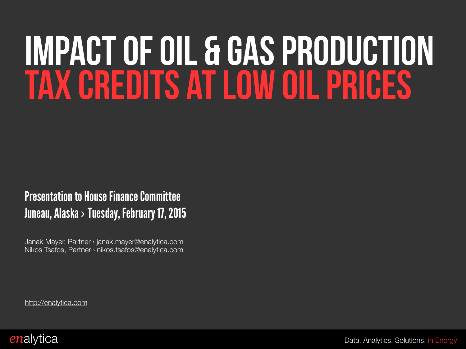# Impact of oil & gas production tax credits at low oil prices

#### Presentation to House Finance Committee Juneau, Alaska > Tuesday, February 17, 2015

Janak Mayer, Partner › [janak.mayer@enalytica.com](mailto:janak.mayer@enalytica.info?subject=) Nikos Tsafos, Partner › [nikos.tsafos@enalytica.com](mailto:nikos.tsafos@enalytica.com?subject=) 

[http://enalytica.com](http://enalytica.info)

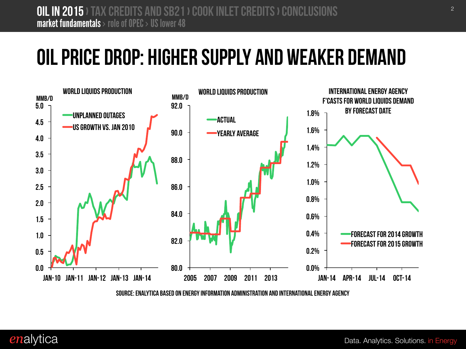#### Oil price drop: higher supply and weaker demand



Source: enalytica based on Energy Information administration and International Energy Agency

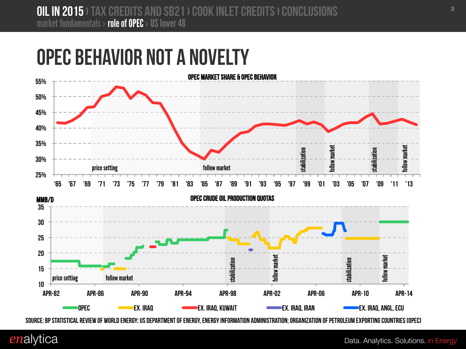#### OPEC Behavior not a novelty



Source: BP Statistical Review of World Energy; US Department of Energy, Energy Information Administration; Organization of Petroleum Exporting Countries (OPEC)

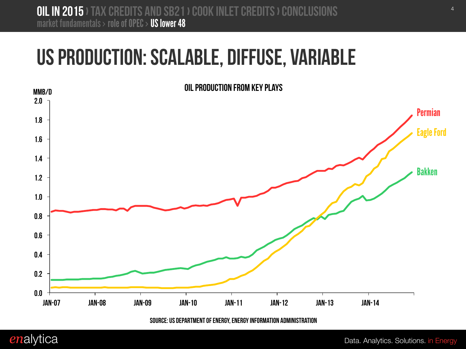#### US Production: Scalable, Diffuse, Variable



Source: US Department of Energy, Energy Information Administration

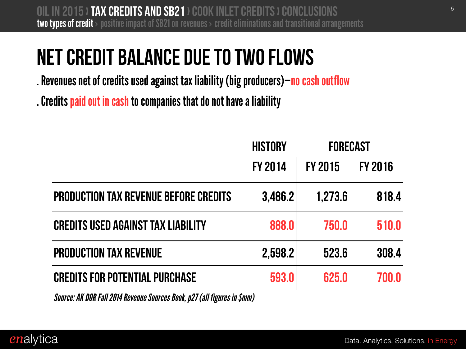### Net Credit Balance due to two flows

. Revenues net of credits used against tax liability (big producers)—no cash outflow

. Credits paid out in cash to companies that do not have a liability

|                                              | <b>HISTORY</b> | <b>FORECAST</b> |                |
|----------------------------------------------|----------------|-----------------|----------------|
|                                              | <b>FY 2014</b> | <b>FY 2015</b>  | <b>FY 2016</b> |
| <b>PRODUCTION TAX REVENUE BEFORE CREDITS</b> | 3,486.2        | 1,273.6         | 818.4          |
| <b>CREDITS USED AGAINST TAX LIABILITY</b>    | 888.0          | 750.0           | 510.0          |
| <b>PRODUCTION TAX REVENUE</b>                | 2,598.2        | 523.6           | 308.4          |
| <b>CREDITS FOR POTENTIAL PURCHASE</b>        | 593.0          | 625.0           | 700.0          |

*Source: AK DOR Fall 2014 Revenue Sources Book, p27 (all figures in \$mm)*

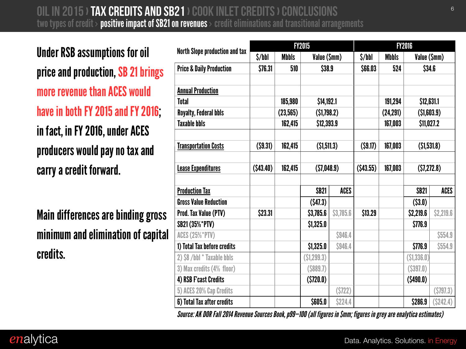<sup>6</sup> Oil in 2015› Tax Credits and SB21 › Cook Inlet Credits › conclusions two types of credit  $>$  positive impact of SB21 on revenues  $>$  credit eliminations and transitional arrangements

Under RSB assumptions for oil price and production, SB 21 brings more revenue than ACES would have in both FY 2015 and FY 2016; in fact, in FY 2016, under ACES producers would pay no tax and carry a credit forward.

Main differences are binding gross minimum and elimination of capital credits.

|                                       | <b>FY2015</b>                         |              |                 |             | <b>FY2016</b>                         |              |              |             |
|---------------------------------------|---------------------------------------|--------------|-----------------|-------------|---------------------------------------|--------------|--------------|-------------|
| <b>North Slope production and tax</b> | $\frac{\sinh(\theta)}{\sinh(\theta)}$ | <b>Mbbls</b> | Value (\$mm)    |             | $\frac{\sinh(\theta)}{\sinh(\theta)}$ | <b>Mbbls</b> | Value (\$mm) |             |
| <b>Price &amp; Daily Production</b>   | \$76.31                               | 510          | \$38.9          |             | \$66.03                               | 524          | \$34.6       |             |
|                                       |                                       |              |                 |             |                                       |              |              |             |
| <b>Annual Production</b>              |                                       |              |                 |             |                                       |              |              |             |
| <b>Total</b>                          |                                       | 185,980      | \$14,192.1      |             |                                       | 191,294      | \$12,631.1   |             |
| <b>Royalty, Federal bbls</b>          |                                       | (23, 565)    | (51,798.2)      |             |                                       | (24, 291)    | ( \$1,603.9) |             |
| <b>Taxable bbls</b>                   |                                       | 162,415      | \$12,393.9      |             |                                       | 167,003      | \$11,027.2   |             |
|                                       |                                       |              |                 |             |                                       |              |              |             |
| <b>Transportation Costs</b>           | (59.31)                               | 162,415      | (51,511.3)      |             | (59.17)                               | 167,003      | (51,531.8)   |             |
|                                       |                                       |              |                 |             |                                       |              |              |             |
| <b>Lease Expenditures</b>             | $($ \$43.40)                          | 162,415      | (57,048.9)      |             | $($ \$43.55)                          | 167,003      | (57, 272.8)  |             |
|                                       |                                       |              |                 |             |                                       |              |              |             |
| <b>Production Tax</b>                 |                                       |              | <b>SB21</b>     | <b>ACES</b> |                                       |              | <b>SB21</b>  | <b>ACES</b> |
| <b>Gross Value Reduction</b>          |                                       |              | (547.3)         |             |                                       |              | ( \$3.0)     |             |
| <b>Prod. Tax Value (PTV)</b>          | \$23.31                               |              | \$3,785.6       | \$3,785.6   | \$13.29                               |              | \$2,219.6    | \$2,219.6   |
| <b>SB21 (35%*PTV)</b>                 |                                       |              | \$1,325.0       |             |                                       |              | \$776.9      |             |
| <b>ACES (25%*PTV)</b>                 |                                       |              |                 | \$946.4     |                                       |              |              | \$554.9     |
| 1) Total Tax before credits           |                                       |              | \$1,325.0       | \$946.4     |                                       |              | \$776.9      | \$554.9     |
| 2) \$8 /bbl * Taxable bbls            |                                       |              | (51, 299.3)     |             |                                       |              | ( \$1,336.0) |             |
| 3) Max credits (4% floor)             |                                       |              | $($ \$889.7 $)$ |             |                                       |              | $($ \$397.0) |             |
| 4) RSB F'cast Credits                 |                                       |              | (5720.0)        |             |                                       |              | $($ \$490.0) |             |
| 5) ACES 20% Cap Credits               |                                       |              |                 | (5722)      |                                       |              |              | (5797.3)    |
| 6) Total Tax after credits            |                                       |              | \$605.0         | \$224.4     |                                       |              | \$286.9      | (S242.4)    |

*Source: AK DOR Fall 2014 Revenue Sources Book, p99—100 (all figures in \$mm; figures in grey are enalytica estimates)*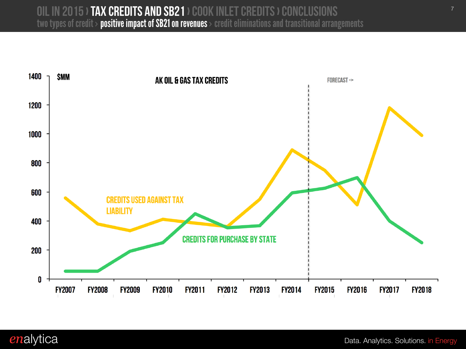#### <sup>7</sup> Oil in 2015› Tax Credits and SB21 › Cook Inlet Credits › conclusions two types of credit  $>$  positive impact of SB21 on revenues  $>$  credit eliminations and transitional arrangements



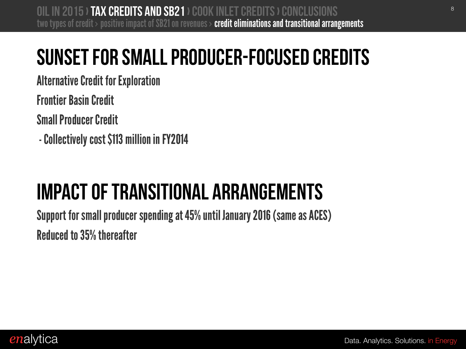### Sunset for small producer-focused credits

Alternative Credit for Exploration

Frontier Basin Credit

Small Producer Credit

- Collectively cost \$113 million in FY2014

## impact of transitional arrangements

Support for small producer spending at 45% until January 2016 (same as ACES) Reduced to 35% thereafter

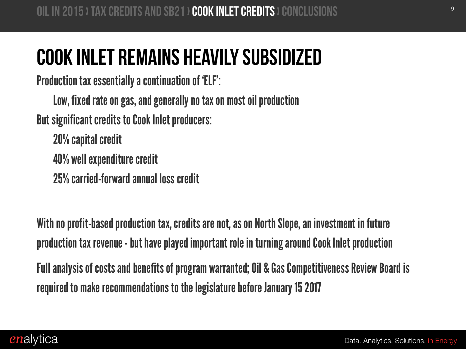#### Cook Inlet remains heavily subsidized

Production tax essentially a continuation of 'ELF':

Low, fixed rate on gas, and generally no tax on most oil production

But significant credits to Cook Inlet producers:

20% capital credit 40% well expenditure credit

25% carried-forward annual loss credit

With no profit-based production tax, credits are not, as on North Slope, an investment in future production tax revenue - but have played important role in turning around Cook Inlet production

Full analysis of costs and benefits of program warranted; Oil & Gas Competitiveness Review Board is required to make recommendations to the legislature before January 15 2017

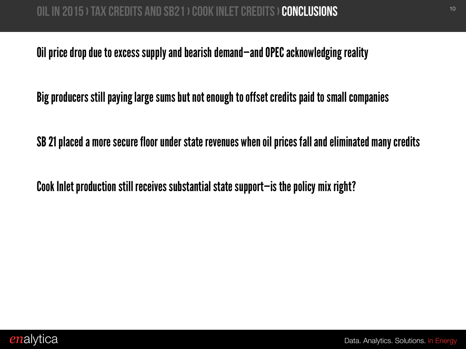Oil price drop due to excess supply and bearish demand—and OPEC acknowledging reality

Big producers still paying large sums but not enough to offset credits paid to small companies

SB 21 placed a more secure floor under state revenues when oil prices fall and eliminated many credits

Cook Inlet production still receives substantial state support—is the policy mix right?